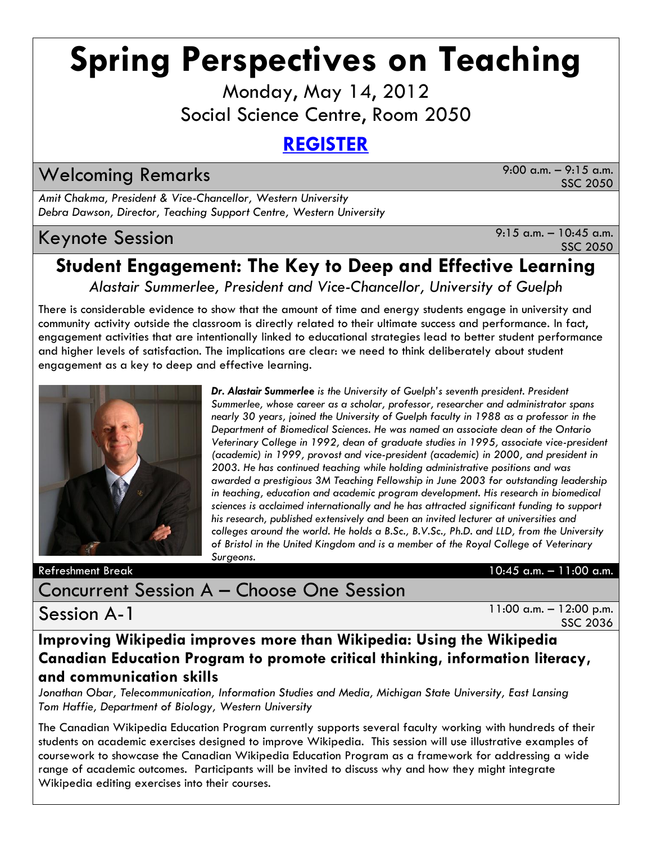# **Spring Perspectives on Teaching**

Monday, May 14, 2012 Social Science Centre, Room 2050

## **[REGISTER](https://www.lib.uwo.ca/tsc/calendar/register.php?id=434®ister=Register)**

Welcoming Remarks 9:00 a.m. – 9:15 a.m.

SSC 2050

*Amit Chakma, President & Vice-Chancellor, Western University Debra Dawson, Director, Teaching Support Centre, Western University*

## Keynote Session 8:15 a.m. – 10:45 a.m.

SSC 2050

## **Student Engagement: The Key to Deep and Effective Learning**

*Alastair Summerlee, President and Vice-Chancellor, University of Guelph*

There is considerable evidence to show that the amount of time and energy students engage in university and community activity outside the classroom is directly related to their ultimate success and performance. In fact, engagement activities that are intentionally linked to educational strategies lead to better student performance and higher levels of satisfaction. The implications are clear: we need to think deliberately about student engagement as a key to deep and effective learning.



*Dr. Alastair Summerlee is the University of Guelph's seventh president. President Summerlee, whose career as a scholar, professor, researcher and administrator spans nearly 30 years, joined the University of Guelph faculty in 1988 as a professor in the Department of Biomedical Sciences. He was named an associate dean of the Ontario Veterinary College in 1992, dean of graduate studies in 1995, associate vice-president (academic) in 1999, provost and vice-president (academic) in 2000, and president in 2003. He has continued teaching while holding administrative positions and was awarded a prestigious 3M Teaching Fellowship in June 2003 for outstanding leadership in teaching, education and academic program development. His research in biomedical sciences is acclaimed internationally and he has attracted significant funding to support his research, published extensively and been an invited lecturer at universities and colleges around the world. He holds a B.Sc., B.V.Sc., Ph.D. and LLD, from the University of Bristol in the United Kingdom and is a member of the Royal College of Veterinary Surgeons.*

Refreshment Break 10:45 a.m. – 11:00 a.m.

## Concurrent Session A – Choose One Session

Session A-1

11:00 a.m. – 12:00 p.m. SSC 2036

**Improving Wikipedia improves more than Wikipedia: Using the Wikipedia Canadian Education Program to promote critical thinking, information literacy, and communication skills**

*Jonathan Obar, Telecommunication, Information Studies and Media, Michigan State University, East Lansing Tom Haffie, Department of Biology, Western University*

The Canadian Wikipedia Education Program currently supports several faculty working with hundreds of their students on academic exercises designed to improve Wikipedia. This session will use illustrative examples of coursework to showcase the Canadian Wikipedia Education Program as a framework for addressing a wide range of academic outcomes. Participants will be invited to discuss why and how they might integrate Wikipedia editing exercises into their courses.